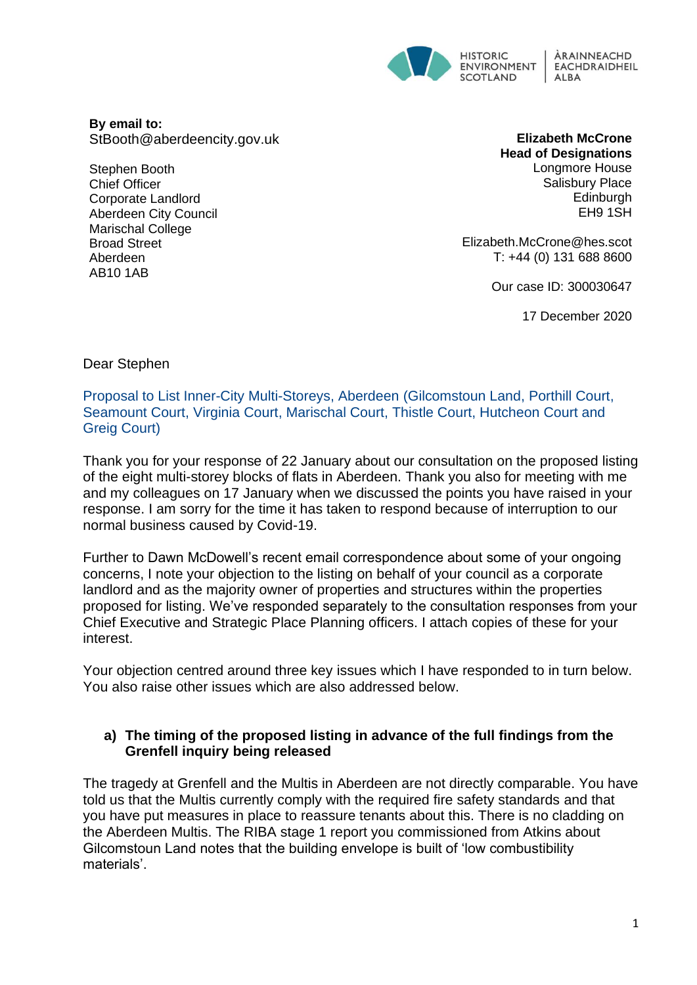

**By email to:**  StBooth@aberdeencity.gov.uk

Stephen Booth Chief Officer Corporate Landlord Aberdeen City Council Marischal College Broad Street Aberdeen AB10 1AB

**Elizabeth McCrone Head of Designations** Longmore House Salisbury Place **Edinburgh** EH9 1SH

Elizabeth.McCrone@hes.scot T: +44 (0) 131 688 8600

Our case ID: 300030647

17 December 2020

Dear Stephen

Proposal to List Inner-City Multi-Storeys, Aberdeen (Gilcomstoun Land, Porthill Court, Seamount Court, Virginia Court, Marischal Court, Thistle Court, Hutcheon Court and Greig Court)

Thank you for your response of 22 January about our consultation on the proposed listing of the eight multi-storey blocks of flats in Aberdeen. Thank you also for meeting with me and my colleagues on 17 January when we discussed the points you have raised in your response. I am sorry for the time it has taken to respond because of interruption to our normal business caused by Covid-19.

Further to Dawn McDowell's recent email correspondence about some of your ongoing concerns, I note your objection to the listing on behalf of your council as a corporate landlord and as the majority owner of properties and structures within the properties proposed for listing. We've responded separately to the consultation responses from your Chief Executive and Strategic Place Planning officers. I attach copies of these for your interest.

Your objection centred around three key issues which I have responded to in turn below. You also raise other issues which are also addressed below.

#### **a) The timing of the proposed listing in advance of the full findings from the Grenfell inquiry being released**

The tragedy at Grenfell and the Multis in Aberdeen are not directly comparable. You have told us that the Multis currently comply with the required fire safety standards and that you have put measures in place to reassure tenants about this. There is no cladding on the Aberdeen Multis. The RIBA stage 1 report you commissioned from Atkins about Gilcomstoun Land notes that the building envelope is built of 'low combustibility materials'.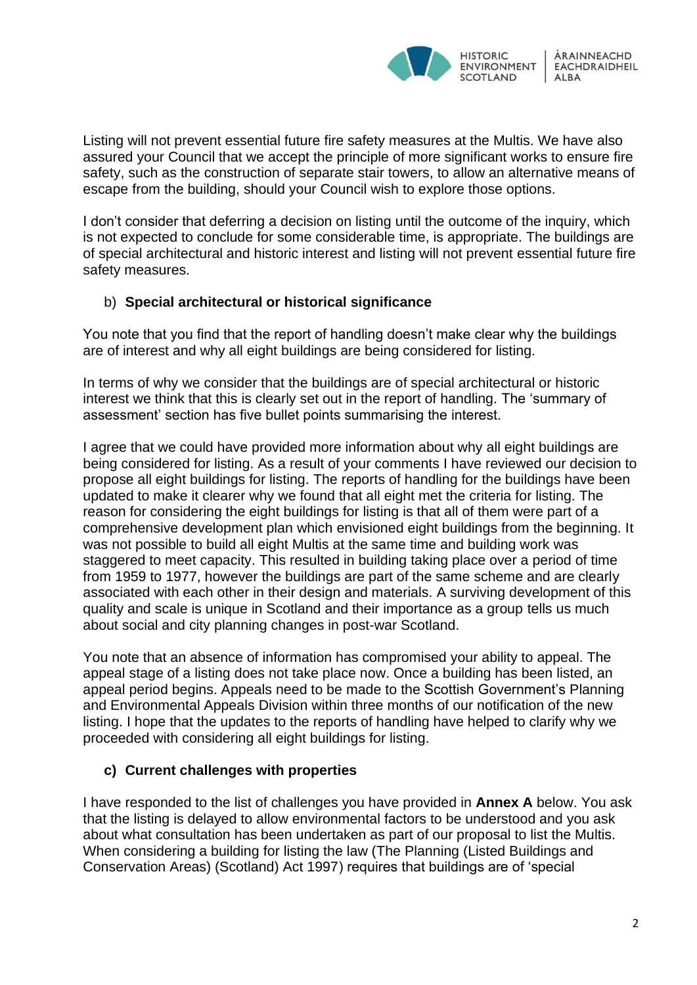

Listing will not prevent essential future fire safety measures at the Multis. We have also assured your Council that we accept the principle of more significant works to ensure fire safety, such as the construction of separate stair towers, to allow an alternative means of escape from the building, should your Council wish to explore those options.

I don't consider that deferring a decision on listing until the outcome of the inquiry, which is not expected to conclude for some considerable time, is appropriate. The buildings are of special architectural and historic interest and listing will not prevent essential future fire safety measures.

### b) **Special architectural or historical significance**

You note that you find that the report of handling doesn't make clear why the buildings are of interest and why all eight buildings are being considered for listing.

In terms of why we consider that the buildings are of special architectural or historic interest we think that this is clearly set out in the report of handling. The 'summary of assessment' section has five bullet points summarising the interest.

I agree that we could have provided more information about why all eight buildings are being considered for listing. As a result of your comments I have reviewed our decision to propose all eight buildings for listing. The reports of handling for the buildings have been updated to make it clearer why we found that all eight met the criteria for listing. The reason for considering the eight buildings for listing is that all of them were part of a comprehensive development plan which envisioned eight buildings from the beginning. It was not possible to build all eight Multis at the same time and building work was staggered to meet capacity. This resulted in building taking place over a period of time from 1959 to 1977, however the buildings are part of the same scheme and are clearly associated with each other in their design and materials. A surviving development of this quality and scale is unique in Scotland and their importance as a group tells us much about social and city planning changes in post-war Scotland.

You note that an absence of information has compromised your ability to appeal. The appeal stage of a listing does not take place now. Once a building has been listed, an appeal period begins. Appeals need to be made to the Scottish Government's Planning and Environmental Appeals Division within three months of our notification of the new listing. I hope that the updates to the reports of handling have helped to clarify why we proceeded with considering all eight buildings for listing.

#### **c) Current challenges with properties**

I have responded to the list of challenges you have provided in **Annex A** below. You ask that the listing is delayed to allow environmental factors to be understood and you ask about what consultation has been undertaken as part of our proposal to list the Multis. When considering a building for listing the law (The Planning (Listed Buildings and Conservation Areas) (Scotland) Act 1997) requires that buildings are of 'special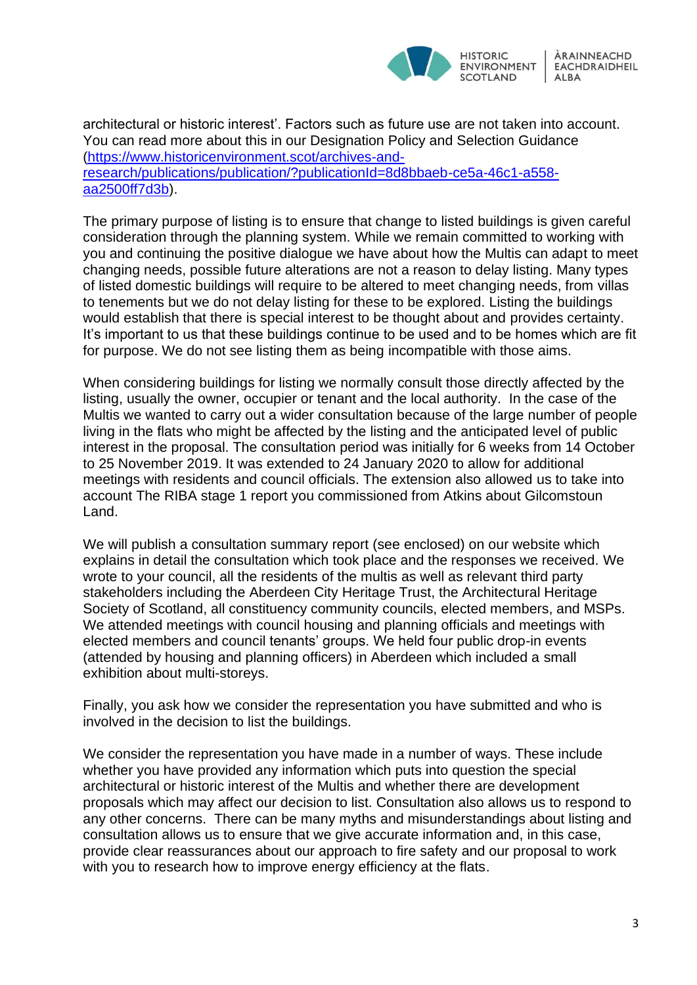

architectural or historic interest'. Factors such as future use are not taken into account. You can read more about this in our Designation Policy and Selection Guidance [\(https://www.historicenvironment.scot/archives-and](https://www.historicenvironment.scot/archives-and-research/publications/publication/?publicationId=8d8bbaeb-ce5a-46c1-a558-aa2500ff7d3b)[research/publications/publication/?publicationId=8d8bbaeb-ce5a-46c1-a558](https://www.historicenvironment.scot/archives-and-research/publications/publication/?publicationId=8d8bbaeb-ce5a-46c1-a558-aa2500ff7d3b) [aa2500ff7d3b\)](https://www.historicenvironment.scot/archives-and-research/publications/publication/?publicationId=8d8bbaeb-ce5a-46c1-a558-aa2500ff7d3b).

The primary purpose of listing is to ensure that change to listed buildings is given careful consideration through the planning system. While we remain committed to working with you and continuing the positive dialogue we have about how the Multis can adapt to meet changing needs, possible future alterations are not a reason to delay listing. Many types of listed domestic buildings will require to be altered to meet changing needs, from villas to tenements but we do not delay listing for these to be explored. Listing the buildings would establish that there is special interest to be thought about and provides certainty. It's important to us that these buildings continue to be used and to be homes which are fit for purpose. We do not see listing them as being incompatible with those aims.

When considering buildings for listing we normally consult those directly affected by the listing, usually the owner, occupier or tenant and the local authority. In the case of the Multis we wanted to carry out a wider consultation because of the large number of people living in the flats who might be affected by the listing and the anticipated level of public interest in the proposal. The consultation period was initially for 6 weeks from 14 October to 25 November 2019. It was extended to 24 January 2020 to allow for additional meetings with residents and council officials. The extension also allowed us to take into account The RIBA stage 1 report you commissioned from Atkins about Gilcomstoun Land.

We will publish a consultation summary report (see enclosed) on our website which explains in detail the consultation which took place and the responses we received. We wrote to your council, all the residents of the multis as well as relevant third party stakeholders including the Aberdeen City Heritage Trust, the Architectural Heritage Society of Scotland, all constituency community councils, elected members, and MSPs. We attended meetings with council housing and planning officials and meetings with elected members and council tenants' groups. We held four public drop-in events (attended by housing and planning officers) in Aberdeen which included a small exhibition about multi-storeys.

Finally, you ask how we consider the representation you have submitted and who is involved in the decision to list the buildings.

We consider the representation you have made in a number of ways. These include whether you have provided any information which puts into question the special architectural or historic interest of the Multis and whether there are development proposals which may affect our decision to list. Consultation also allows us to respond to any other concerns. There can be many myths and misunderstandings about listing and consultation allows us to ensure that we give accurate information and, in this case, provide clear reassurances about our approach to fire safety and our proposal to work with you to research how to improve energy efficiency at the flats.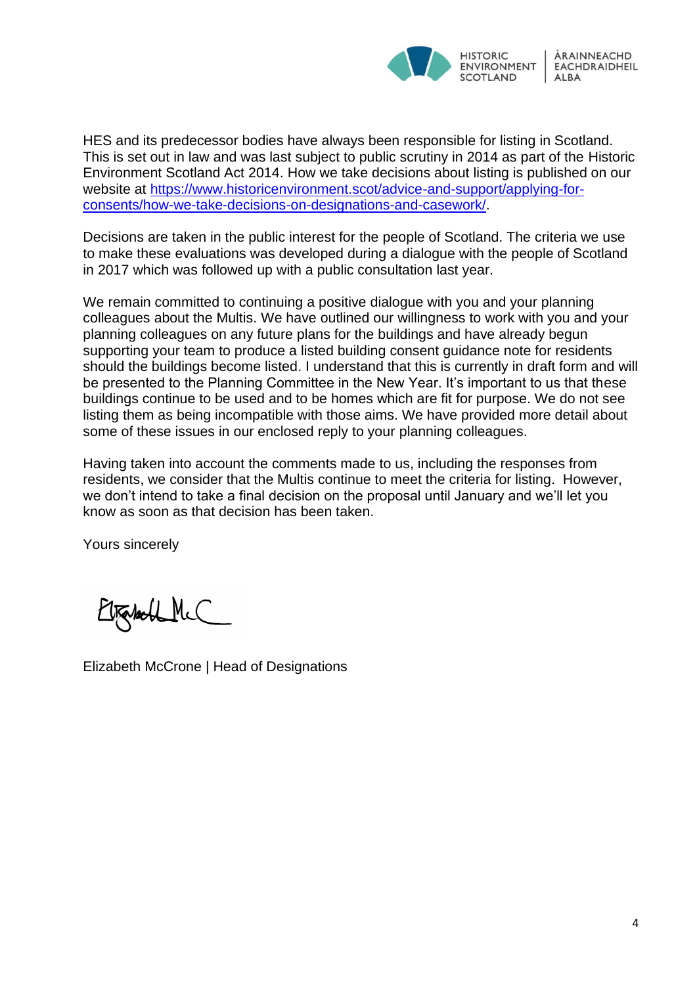

HES and its predecessor bodies have always been responsible for listing in Scotland. This is set out in law and was last subject to public scrutiny in 2014 as part of the Historic Environment Scotland Act 2014. How we take decisions about listing is published on our website at [https://www.historicenvironment.scot/advice-and-support/applying-for](https://www.historicenvironment.scot/advice-and-support/applying-for-consents/how-we-take-decisions-on-designations-and-casework/)[consents/how-we-take-decisions-on-designations-and-casework/.](https://www.historicenvironment.scot/advice-and-support/applying-for-consents/how-we-take-decisions-on-designations-and-casework/)

Decisions are taken in the public interest for the people of Scotland. The criteria we use to make these evaluations was developed during a dialogue with the people of Scotland in 2017 which was followed up with a public consultation last year.

We remain committed to continuing a positive dialogue with you and your planning colleagues about the Multis. We have outlined our willingness to work with you and your planning colleagues on any future plans for the buildings and have already begun supporting your team to produce a listed building consent guidance note for residents should the buildings become listed. I understand that this is currently in draft form and will be presented to the Planning Committee in the New Year. It's important to us that these buildings continue to be used and to be homes which are fit for purpose. We do not see listing them as being incompatible with those aims. We have provided more detail about some of these issues in our enclosed reply to your planning colleagues.

Having taken into account the comments made to us, including the responses from residents, we consider that the Multis continue to meet the criteria for listing. However, we don't intend to take a final decision on the proposal until January and we'll let you know as soon as that decision has been taken.

Yours sincerely

Tabell McC

Elizabeth McCrone | Head of Designations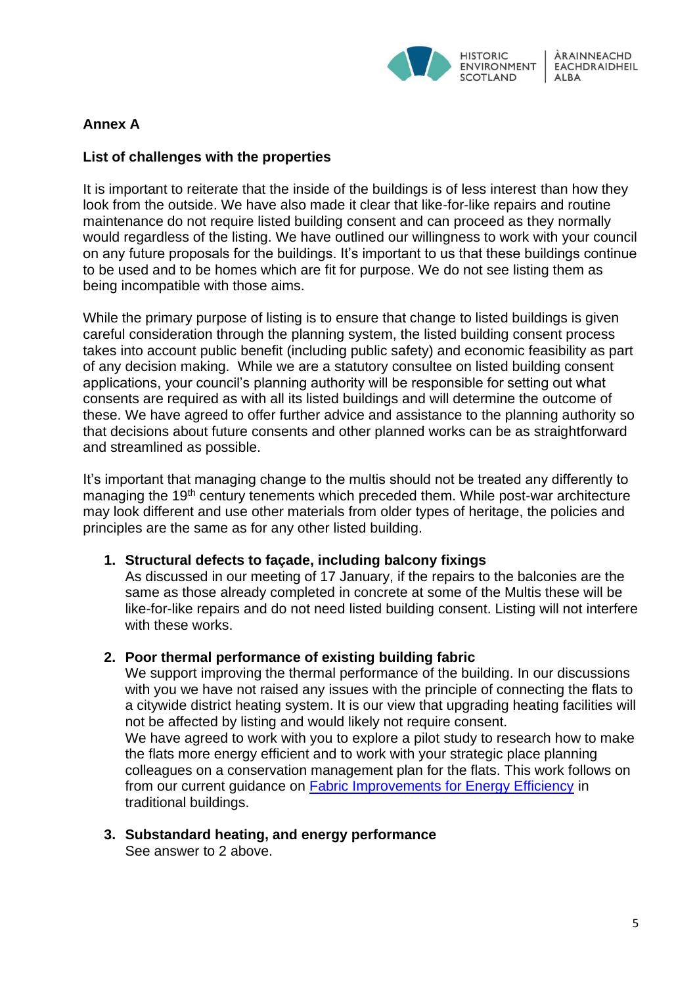

# **Annex A**

## **List of challenges with the properties**

It is important to reiterate that the inside of the buildings is of less interest than how they look from the outside. We have also made it clear that like-for-like repairs and routine maintenance do not require listed building consent and can proceed as they normally would regardless of the listing. We have outlined our willingness to work with your council on any future proposals for the buildings. It's important to us that these buildings continue to be used and to be homes which are fit for purpose. We do not see listing them as being incompatible with those aims.

While the primary purpose of listing is to ensure that change to listed buildings is given careful consideration through the planning system, the listed building consent process takes into account public benefit (including public safety) and economic feasibility as part of any decision making. While we are a statutory consultee on listed building consent applications, your council's planning authority will be responsible for setting out what consents are required as with all its listed buildings and will determine the outcome of these. We have agreed to offer further advice and assistance to the planning authority so that decisions about future consents and other planned works can be as straightforward and streamlined as possible.

It's important that managing change to the multis should not be treated any differently to managing the 19<sup>th</sup> century tenements which preceded them. While post-war architecture may look different and use other materials from older types of heritage, the policies and principles are the same as for any other listed building.

#### **1. Structural defects to façade, including balcony fixings**

As discussed in our meeting of 17 January, if the repairs to the balconies are the same as those already completed in concrete at some of the Multis these will be like-for-like repairs and do not need listed building consent. Listing will not interfere with these works.

#### **2. Poor thermal performance of existing building fabric**

We support improving the thermal performance of the building. In our discussions with you we have not raised any issues with the principle of connecting the flats to a citywide district heating system. It is our view that upgrading heating facilities will not be affected by listing and would likely not require consent. We have agreed to work with you to explore a pilot study to research how to make

the flats more energy efficient and to work with your strategic place planning colleagues on a conservation management plan for the flats. This work follows on from our current guidance on **Fabric Improvements for Energy Efficiency** in traditional buildings.

**3. Substandard heating, and energy performance** See answer to 2 above.